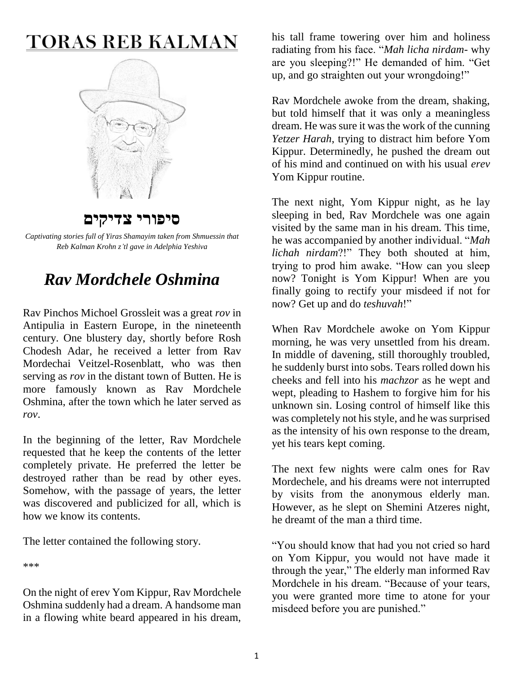# **TORAS REB KALMAN**



**סיפורי צדיקים**



## *Rav Mordchele Oshmina*

Rav Pinchos Michoel Grossleit was a great *rov* in Antipulia in Eastern Europe, in the nineteenth century. One blustery day, shortly before Rosh Chodesh Adar, he received a letter from Rav Mordechai Veitzel-Rosenblatt, who was then serving as *rov* in the distant town of Butten. He is more famously known as Rav Mordchele Oshmina, after the town which he later served as *rov*.

In the beginning of the letter, Rav Mordchele requested that he keep the contents of the letter completely private. He preferred the letter be destroyed rather than be read by other eyes. Somehow, with the passage of years, the letter was discovered and publicized for all, which is how we know its contents.

The letter contained the following story.

\*\*\*

On the night of erev Yom Kippur, Rav Mordchele Oshmina suddenly had a dream. A handsome man in a flowing white beard appeared in his dream, his tall frame towering over him and holiness radiating from his face. "*Mah licha nirdam*- why are you sleeping?!" He demanded of him. "Get up, and go straighten out your wrongdoing!"

Rav Mordchele awoke from the dream, shaking, but told himself that it was only a meaningless dream. He was sure it was the work of the cunning *Yetzer Harah*, trying to distract him before Yom Kippur. Determinedly, he pushed the dream out of his mind and continued on with his usual *erev* Yom Kippur routine.

The next night, Yom Kippur night, as he lay sleeping in bed, Rav Mordchele was one again visited by the same man in his dream. This time, he was accompanied by another individual. "*Mah lichah nirdam*?!" They both shouted at him, trying to prod him awake. "How can you sleep now? Tonight is Yom Kippur! When are you finally going to rectify your misdeed if not for now? Get up and do *teshuvah*!"

When Rav Mordchele awoke on Yom Kippur morning, he was very unsettled from his dream. In middle of davening, still thoroughly troubled, he suddenly burst into sobs. Tears rolled down his cheeks and fell into his *machzor* as he wept and wept, pleading to Hashem to forgive him for his unknown sin. Losing control of himself like this was completely not his style, and he was surprised as the intensity of his own response to the dream, yet his tears kept coming.

The next few nights were calm ones for Rav Mordechele, and his dreams were not interrupted by visits from the anonymous elderly man. However, as he slept on Shemini Atzeres night, he dreamt of the man a third time.

"You should know that had you not cried so hard on Yom Kippur, you would not have made it through the year," The elderly man informed Rav Mordchele in his dream. "Because of your tears, you were granted more time to atone for your misdeed before you are punished."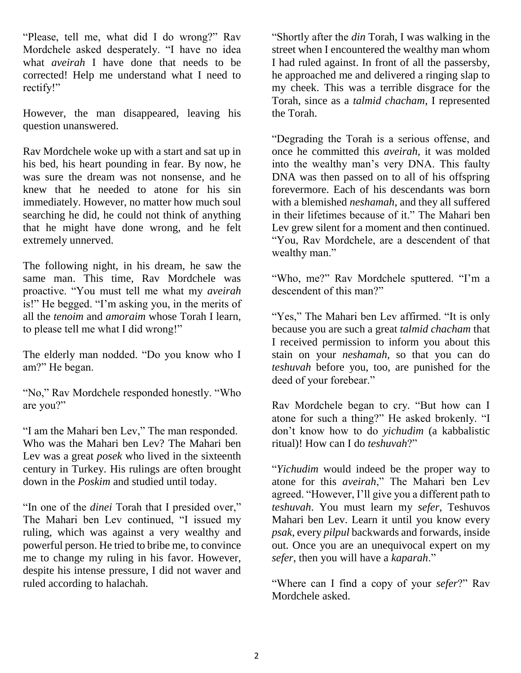"Please, tell me, what did I do wrong?" Rav Mordchele asked desperately. "I have no idea what *aveirah* I have done that needs to be corrected! Help me understand what I need to rectify!"

However, the man disappeared, leaving his question unanswered.

Rav Mordchele woke up with a start and sat up in his bed, his heart pounding in fear. By now, he was sure the dream was not nonsense, and he knew that he needed to atone for his sin immediately. However, no matter how much soul searching he did, he could not think of anything that he might have done wrong, and he felt extremely unnerved.

The following night, in his dream, he saw the same man. This time, Rav Mordchele was proactive. "You must tell me what my *aveirah* is!" He begged. "I'm asking you, in the merits of all the *tenoim* and *amoraim* whose Torah I learn, to please tell me what I did wrong!"

The elderly man nodded. "Do you know who I am?" He began.

"No," Rav Mordchele responded honestly. "Who are you?"

"I am the Mahari ben Lev," The man responded. Who was the Mahari ben Lev? The Mahari ben Lev was a great *posek* who lived in the sixteenth century in Turkey. His rulings are often brought down in the *Poskim* and studied until today.

"In one of the *dinei* Torah that I presided over," The Mahari ben Lev continued, "I issued my ruling, which was against a very wealthy and powerful person. He tried to bribe me, to convince me to change my ruling in his favor. However, despite his intense pressure, I did not waver and ruled according to halachah.

"Shortly after the *din* Torah, I was walking in the street when I encountered the wealthy man whom I had ruled against. In front of all the passersby, he approached me and delivered a ringing slap to my cheek. This was a terrible disgrace for the Torah, since as a *talmid chacham*, I represented the Torah.

"Degrading the Torah is a serious offense, and once he committed this *aveirah*, it was molded into the wealthy man's very DNA. This faulty DNA was then passed on to all of his offspring forevermore. Each of his descendants was born with a blemished *neshamah*, and they all suffered in their lifetimes because of it." The Mahari ben Lev grew silent for a moment and then continued. "You, Rav Mordchele, are a descendent of that wealthy man."

"Who, me?" Rav Mordchele sputtered. "I'm a descendent of this man?"

"Yes," The Mahari ben Lev affirmed. "It is only because you are such a great *talmid chacham* that I received permission to inform you about this stain on your *neshamah*, so that you can do *teshuvah* before you, too, are punished for the deed of your forebear."

Rav Mordchele began to cry. "But how can I atone for such a thing?" He asked brokenly. "I don't know how to do *yichudim* (a kabbalistic ritual)! How can I do *teshuvah*?"

"*Yichudim* would indeed be the proper way to atone for this *aveirah*," The Mahari ben Lev agreed. "However, I'll give you a different path to *teshuvah*. You must learn my *sefer*, Teshuvos Mahari ben Lev. Learn it until you know every *psak*, every *pilpul* backwards and forwards, inside out. Once you are an unequivocal expert on my *sefer*, then you will have a *kaparah*."

"Where can I find a copy of your *sefer*?" Rav Mordchele asked.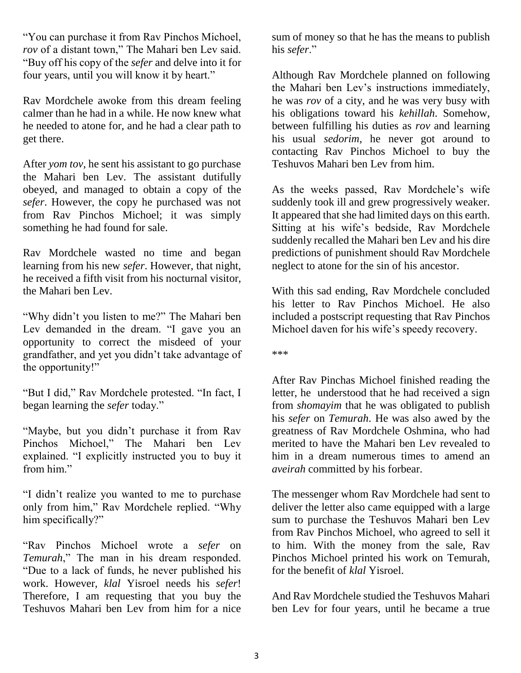"You can purchase it from Rav Pinchos Michoel, *rov* of a distant town," The Mahari ben Lev said. "Buy off his copy of the *sefer* and delve into it for four years, until you will know it by heart."

Rav Mordchele awoke from this dream feeling calmer than he had in a while. He now knew what he needed to atone for, and he had a clear path to get there.

After *yom tov*, he sent his assistant to go purchase the Mahari ben Lev. The assistant dutifully obeyed, and managed to obtain a copy of the *sefer*. However, the copy he purchased was not from Rav Pinchos Michoel; it was simply something he had found for sale.

Rav Mordchele wasted no time and began learning from his new *sefer*. However, that night, he received a fifth visit from his nocturnal visitor, the Mahari ben Lev.

"Why didn't you listen to me?" The Mahari ben Lev demanded in the dream. "I gave you an opportunity to correct the misdeed of your grandfather, and yet you didn't take advantage of the opportunity!"

"But I did," Rav Mordchele protested. "In fact, I began learning the *sefer* today."

"Maybe, but you didn't purchase it from Rav Pinchos Michoel," The Mahari ben Lev explained. "I explicitly instructed you to buy it from him."

"I didn't realize you wanted to me to purchase only from him," Rav Mordchele replied. "Why him specifically?"

"Rav Pinchos Michoel wrote a *sefer* on *Temurah*," The man in his dream responded. "Due to a lack of funds, he never published his work. However, *klal* Yisroel needs his *sefer*! Therefore, I am requesting that you buy the Teshuvos Mahari ben Lev from him for a nice sum of money so that he has the means to publish his *sefer*."

Although Rav Mordchele planned on following the Mahari ben Lev's instructions immediately, he was *rov* of a city, and he was very busy with his obligations toward his *kehillah*. Somehow, between fulfilling his duties as *rov* and learning his usual *sedorim*, he never got around to contacting Rav Pinchos Michoel to buy the Teshuvos Mahari ben Lev from him.

As the weeks passed, Rav Mordchele's wife suddenly took ill and grew progressively weaker. It appeared that she had limited days on this earth. Sitting at his wife's bedside, Rav Mordchele suddenly recalled the Mahari ben Lev and his dire predictions of punishment should Rav Mordchele neglect to atone for the sin of his ancestor.

With this sad ending, Rav Mordchele concluded his letter to Rav Pinchos Michoel. He also included a postscript requesting that Rav Pinchos Michoel daven for his wife's speedy recovery.

\*\*\*

After Rav Pinchas Michoel finished reading the letter, he understood that he had received a sign from *shomayim* that he was obligated to publish his *sefer* on *Temurah*. He was also awed by the greatness of Rav Mordchele Oshmina, who had merited to have the Mahari ben Lev revealed to him in a dream numerous times to amend an *aveirah* committed by his forbear.

The messenger whom Rav Mordchele had sent to deliver the letter also came equipped with a large sum to purchase the Teshuvos Mahari ben Lev from Rav Pinchos Michoel, who agreed to sell it to him. With the money from the sale, Rav Pinchos Michoel printed his work on Temurah, for the benefit of *klal* Yisroel.

And Rav Mordchele studied the Teshuvos Mahari ben Lev for four years, until he became a true